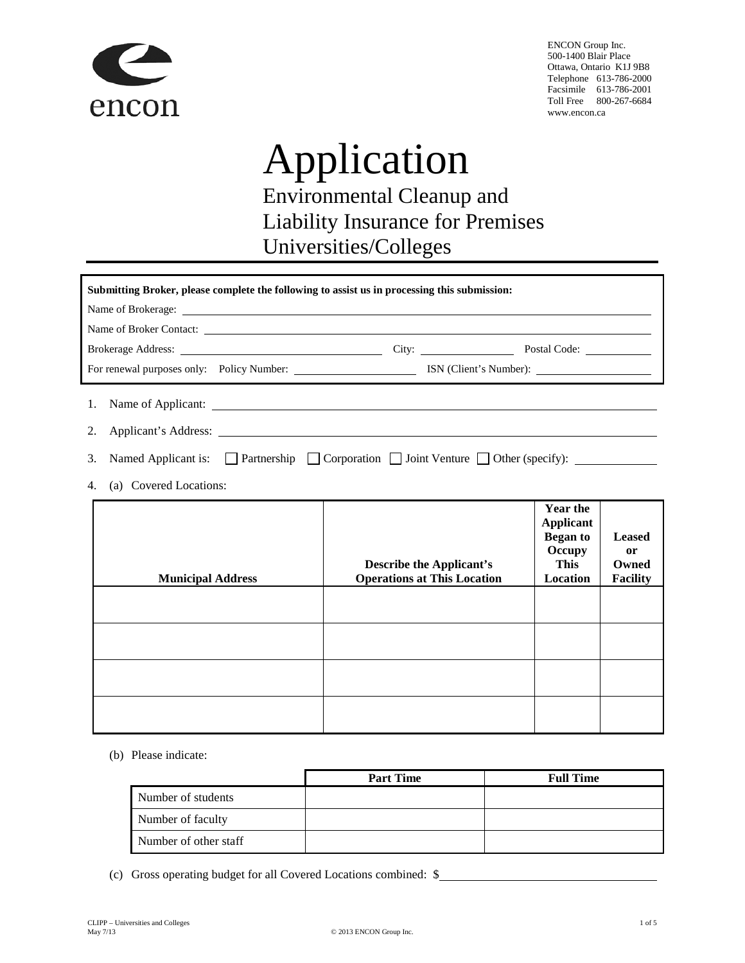

Victor Canada 500-1400 Blair Place Ottawa, Ontario K1J 9B8 Telephone 613-786-2000 Facsimile 613-786-2001 Toll Free 800-267-6684 www.victorinsurance.ca

# Application Environmental Cleanup and Liability Insurance for Premises Universities/Colleges

| Submitting Broker, please complete the following to assist us in processing this submission:                                                                                                                                         |  |  |  |
|--------------------------------------------------------------------------------------------------------------------------------------------------------------------------------------------------------------------------------------|--|--|--|
|                                                                                                                                                                                                                                      |  |  |  |
| Name of Broker Contact:                                                                                                                                                                                                              |  |  |  |
| Brokerage Address: <u>and a contract of the contract of the contract of the contract of the contract of the contract of the contract of the contract of the contract of the contract of the contract of the contract of the cont</u> |  |  |  |
|                                                                                                                                                                                                                                      |  |  |  |
|                                                                                                                                                                                                                                      |  |  |  |
|                                                                                                                                                                                                                                      |  |  |  |
| 3. Named Applicant is: $\Box$ Partnership $\Box$ Corporation $\Box$ Joint Venture $\Box$ Other (specify): $\Box$                                                                                                                     |  |  |  |

4. (a) Covered Locations:

| <b>Municipal Address</b> | <b>Describe the Applicant's</b><br><b>Operations at This Location</b> | <b>Year the</b><br><b>Applicant</b><br><b>Began to</b><br>Occupy<br>This<br>Location | <b>Leased</b><br><sub>or</sub><br>Owned<br><b>Facility</b> |
|--------------------------|-----------------------------------------------------------------------|--------------------------------------------------------------------------------------|------------------------------------------------------------|
|                          |                                                                       |                                                                                      |                                                            |
|                          |                                                                       |                                                                                      |                                                            |
|                          |                                                                       |                                                                                      |                                                            |
|                          |                                                                       |                                                                                      |                                                            |

(b) Please indicate:

|                       | <b>Part Time</b> | <b>Full Time</b> |
|-----------------------|------------------|------------------|
| Number of students    |                  |                  |
| Number of faculty     |                  |                  |
| Number of other staff |                  |                  |

(c) Gross operating budget for all Covered Locations combined: \$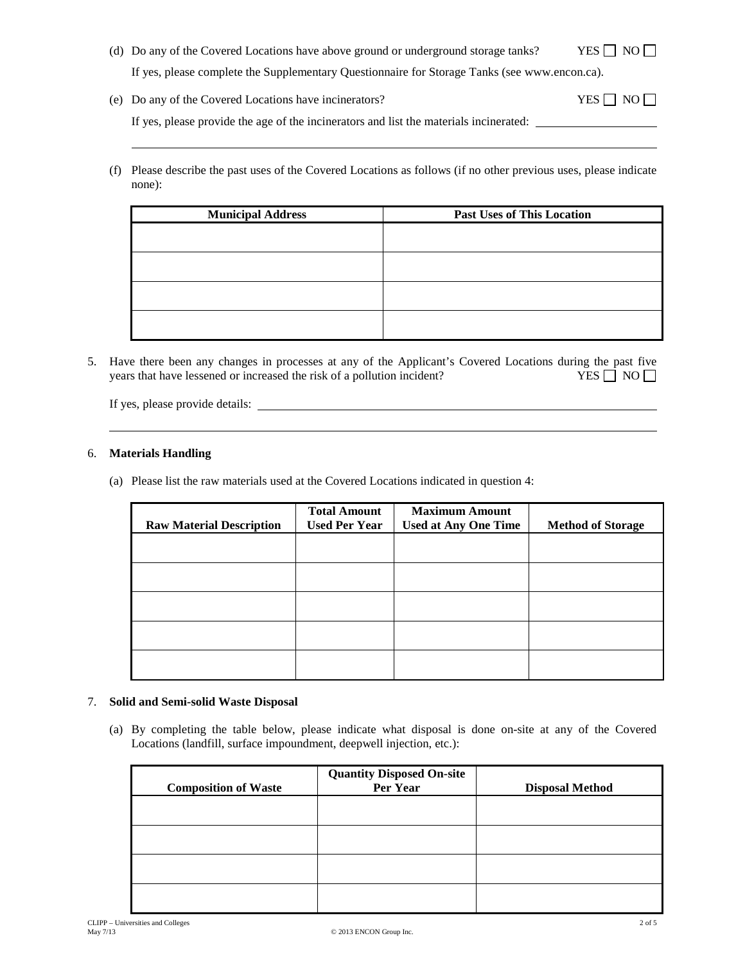- (d) Do any of the Covered Locations have above ground or underground storage tanks? YES  $\Box$  NO  $\Box$ If yes, please complete the Supplementary Questionnaire for Storage Tanks (see www.victorinsurance.ca).
- (e) Do any of the Covered Locations have incinerators?  $YES \Box NO \Box$ If yes, please provide the age of the incinerators and list the materials incinerated:
- (f) Please describe the past uses of the Covered Locations as follows (if no other previous uses, please indicate none):

| <b>Municipal Address</b> | <b>Past Uses of This Location</b> |
|--------------------------|-----------------------------------|
|                          |                                   |
|                          |                                   |
|                          |                                   |
|                          |                                   |

5. Have there been any changes in processes at any of the Applicant's Covered Locations during the past five years that have lessened or increased the risk of a pollution incident? YES  $\Box$  NO  $\Box$ 

If yes, please provide details:

#### 6. **Materials Handling**

(a) Please list the raw materials used at the Covered Locations indicated in question 4:

| <b>Raw Material Description</b> | <b>Total Amount</b><br><b>Used Per Year</b> | <b>Maximum Amount</b><br><b>Used at Any One Time</b> | <b>Method of Storage</b> |
|---------------------------------|---------------------------------------------|------------------------------------------------------|--------------------------|
|                                 |                                             |                                                      |                          |
|                                 |                                             |                                                      |                          |
|                                 |                                             |                                                      |                          |
|                                 |                                             |                                                      |                          |
|                                 |                                             |                                                      |                          |

#### 7. **Solid and Semi-solid Waste Disposal**

(a) By completing the table below, please indicate what disposal is done on-site at any of the Covered Locations (landfill, surface impoundment, deepwell injection, etc.):

| <b>Composition of Waste</b> | <b>Quantity Disposed On-site</b><br>Per Year | <b>Disposal Method</b> |
|-----------------------------|----------------------------------------------|------------------------|
|                             |                                              |                        |
|                             |                                              |                        |
|                             |                                              |                        |
|                             |                                              |                        |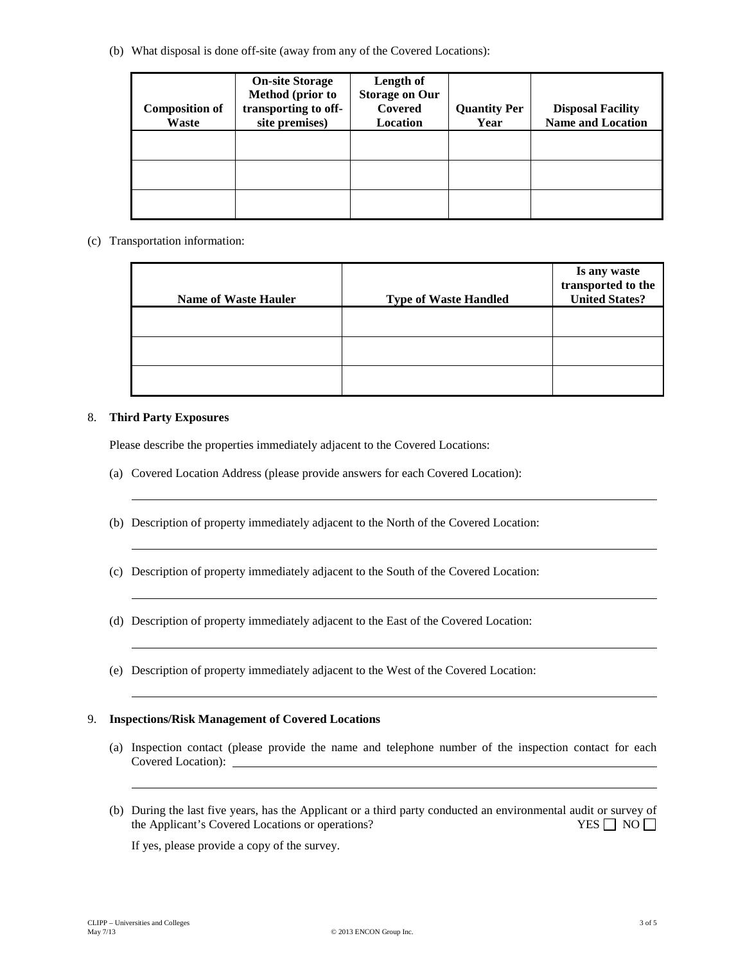(b) What disposal is done off-site (away from any of the Covered Locations):

| <b>Composition of</b><br>Waste | <b>On-site Storage</b><br>Method (prior to<br>transporting to off-<br>site premises) | Length of<br><b>Storage on Our</b><br>Covered<br>Location | <b>Quantity Per</b><br>Year | <b>Disposal Facility</b><br><b>Name and Location</b> |
|--------------------------------|--------------------------------------------------------------------------------------|-----------------------------------------------------------|-----------------------------|------------------------------------------------------|
|                                |                                                                                      |                                                           |                             |                                                      |
|                                |                                                                                      |                                                           |                             |                                                      |
|                                |                                                                                      |                                                           |                             |                                                      |

(c) Transportation information:

|                             |                              | Is any waste<br>transported to the |
|-----------------------------|------------------------------|------------------------------------|
| <b>Name of Waste Hauler</b> | <b>Type of Waste Handled</b> | <b>United States?</b>              |
|                             |                              |                                    |
|                             |                              |                                    |
|                             |                              |                                    |

#### 8. **Third Party Exposures**

Please describe the properties immediately adjacent to the Covered Locations:

- (a) Covered Location Address (please provide answers for each Covered Location):
- (b) Description of property immediately adjacent to the North of the Covered Location:
- (c) Description of property immediately adjacent to the South of the Covered Location:
- (d) Description of property immediately adjacent to the East of the Covered Location:
- (e) Description of property immediately adjacent to the West of the Covered Location:

#### 9. **Inspections/Risk Management of Covered Locations**

- (a) Inspection contact (please provide the name and telephone number of the inspection contact for each Covered Location):
- (b) During the last five years, has the Applicant or a third party conducted an environmental audit or survey of the Applicant's Covered Locations or operations? YES NO

If yes, please provide a copy of the survey.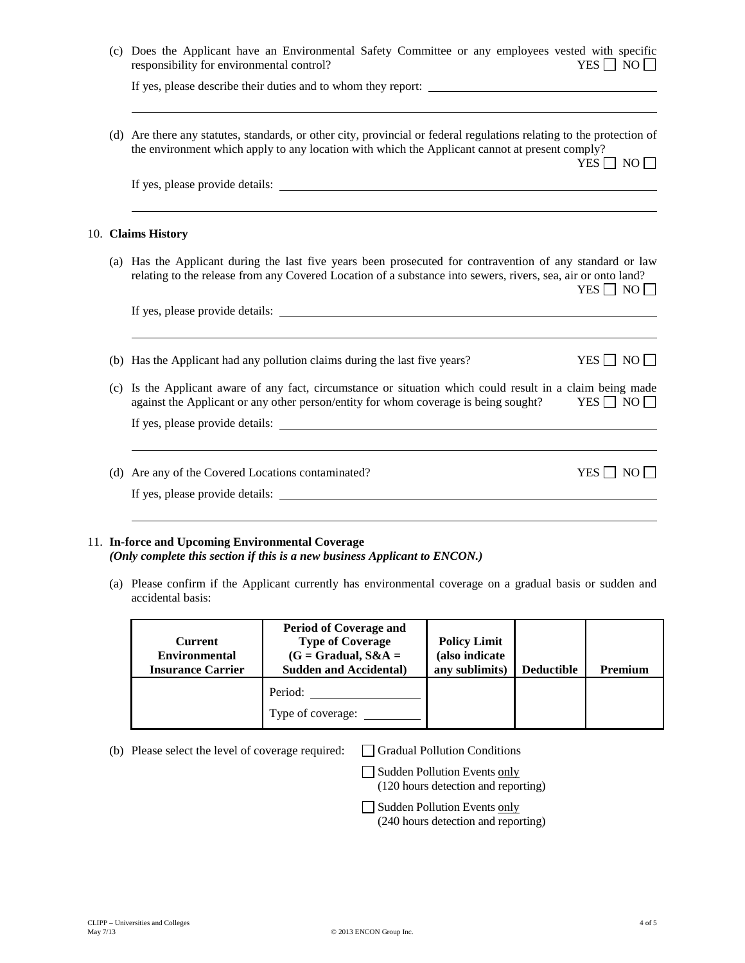|  | (c) Does the Applicant have an Environmental Safety Committee or any employees vested with specific<br>responsibility for environmental control?<br>YES $\Box$ NO $\Box$                                                                        |
|--|-------------------------------------------------------------------------------------------------------------------------------------------------------------------------------------------------------------------------------------------------|
|  | If yes, please describe their duties and to whom they report:                                                                                                                                                                                   |
|  | (d) Are there any statutes, standards, or other city, provincial or federal regulations relating to the protection of<br>the environment which apply to any location with which the Applicant cannot at present comply?<br>YES $\Box$ NO $\Box$ |
|  |                                                                                                                                                                                                                                                 |
|  | 10. Claims History                                                                                                                                                                                                                              |
|  | (a) Has the Applicant during the last five years been prosecuted for contravention of any standard or law<br>relating to the release from any Covered Location of a substance into sewers, rivers, sea, air or onto land?<br>$YES \Box NO \Box$ |
|  |                                                                                                                                                                                                                                                 |
|  | YES $\Box$ NO $\Box$<br>(b) Has the Applicant had any pollution claims during the last five years?                                                                                                                                              |
|  | (c) Is the Applicant aware of any fact, circumstance or situation which could result in a claim being made<br>against the Applicant or any other person/entity for whom coverage is being sought?<br>$YES \Box NO \Box$                         |
|  | If yes, please provide details:                                                                                                                                                                                                                 |
|  | (d) Are any of the Covered Locations contaminated?<br>$YES \Box NO \Box$                                                                                                                                                                        |
|  |                                                                                                                                                                                                                                                 |

## 11. **In-force and Upcoming Environmental Coverage** *(Only complete this section if this is a new business Applicant to Victor.)*

(a) Please confirm if the Applicant currently has environmental coverage on a gradual basis or sudden and accidental basis:

| <b>Current</b><br><b>Environmental</b><br><b>Insurance Carrier</b> | <b>Period of Coverage and</b><br><b>Type of Coverage</b><br>$(G = Gradual, S&A =$<br><b>Sudden and Accidental</b> ) | <b>Policy Limit</b><br>(also indicate<br>any sublimits) | <b>Deductible</b> | <b>Premium</b> |
|--------------------------------------------------------------------|---------------------------------------------------------------------------------------------------------------------|---------------------------------------------------------|-------------------|----------------|
|                                                                    | Period:<br>Type of coverage:                                                                                        |                                                         |                   |                |

(b) Please select the level of coverage required:  $\Box$  Gradual Pollution Conditions

Sudden Pollution Events only (120 hours detection and reporting)

Sudden Pollution Events only (240 hours detection and reporting)